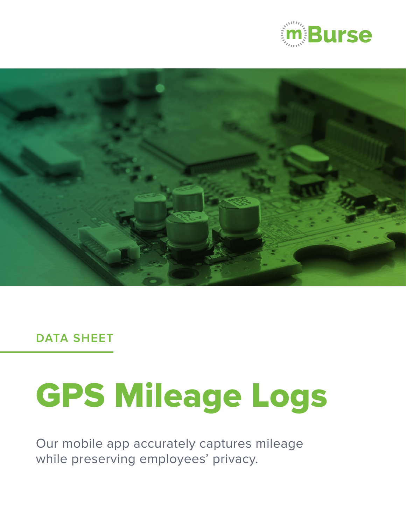



**DATA SHEET**

# GPS Mileage Logs

Our mobile app accurately captures mileage while preserving employees' privacy.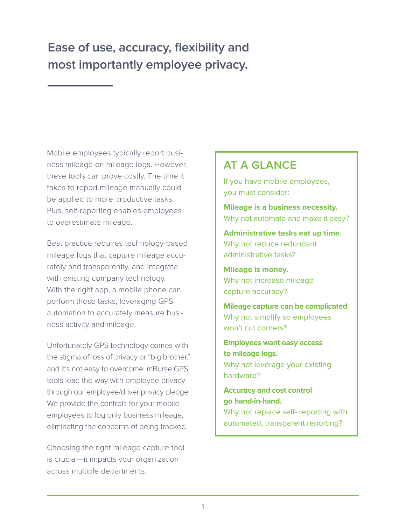## **Ease of use, accuracy, flexibility and most importantly employee privacy.**

Mobile employees typically report business mileage on mileage logs. However, these tools can prove costly. The time it takes to report mileage manually could be applied to more productive tasks. Plus, self-reporting enables employees to overestimate mileage.

Best practice requires technology-based mileage logs that capture mileage accurately and transparently, and integrate with existing company technology. With the right app, a mobile phone can perform these tasks, leveraging GPS automation to accurately measure business activity and mileage.

Unfortunately GPS technology comes with the stigma of loss of privacy or "big brother," and it's not easy to overcome. mBurse GPS tools lead the way with employee privacy through our employee/driver privacy pledge. We provide the controls for your mobile employees to log only business mileage, eliminating the concerns of being tracked.

Choosing the right mileage capture tool is crucial—it impacts your organization across multiple departments.

#### **AT A GLANCE**

If you have mobile employees, you must consider:

**Mileage is a business necessity.** Why not automate and make it easy?

**Administrative tasks eat up time**. Why not reduce redundant administrative tasks?

**Mileage is money.**  Why not increase mileage capture accuracy?

**Mileage capture can be complicated**. Why not simplify so employees won't cut corners?

**Employees want easy access to mileage logs.**  Why not leverage your existing hardware?

**Accuracy and cost control go hand-in-hand.**  Why not replace self- reporting with

automated, transparent reporting?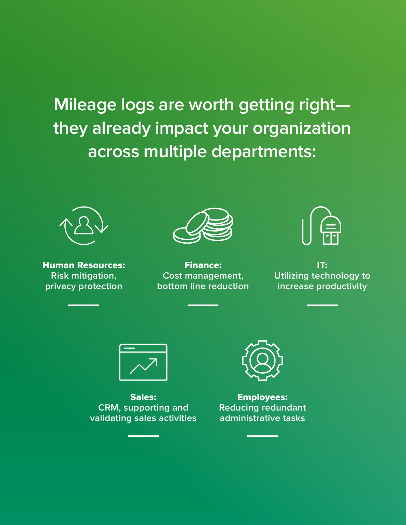**Mileage logs are worth getting right they already impact your organization across multiple departments:**



Human Resources: **Risk mitigation, privacy protection**



Finance: **Cost management, bottom line reduction** 



IT: **Utilizing technology to increase productivity**



Sales: **CRM, supporting and validating sales activities**



Employees: **Reducing redundant administrative tasks**